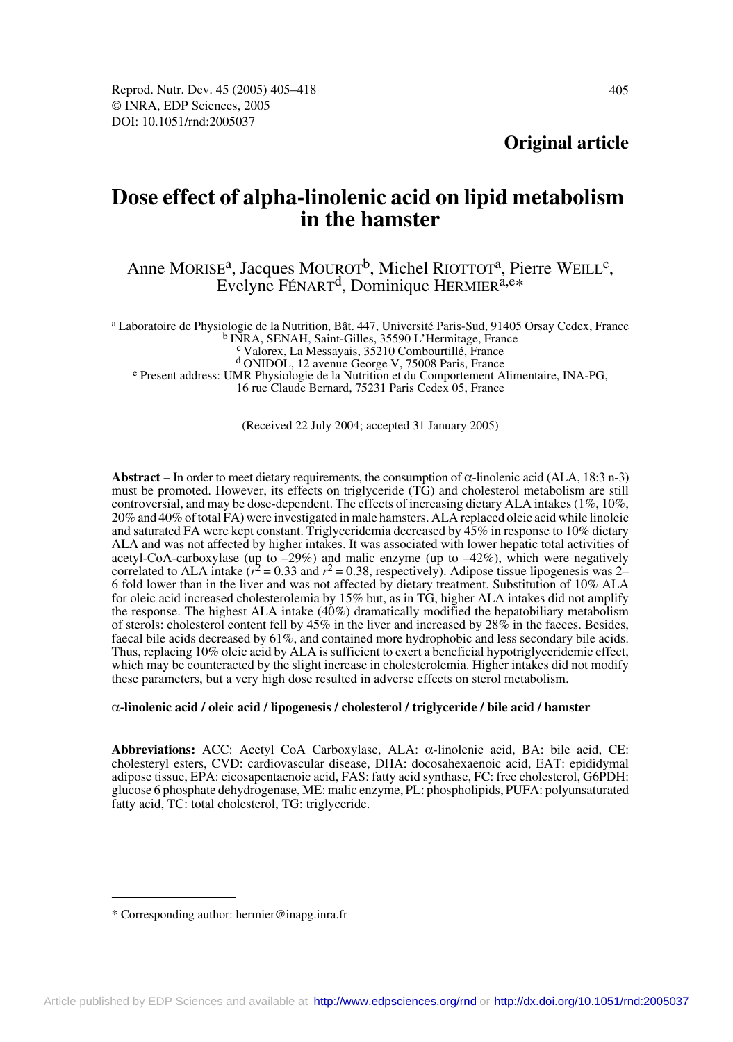# **Dose effect of alpha-linolenic acid on lipid metabolism in the hamster**

## Anne MORISE<sup>a</sup>, Jacques MOUROT<sup>b</sup>, Michel RIOTTOT<sup>a</sup>, Pierre WEILL<sup>c</sup>, Evelyne FÉNART<sup>d</sup>, Dominique HERMIER<sup>a,e\*</sup>

a Laboratoire de Physiologie de la Nutrition, Bât. 447, Université Paris-Sud, 91405 Orsay Cedex, France<br>
b INRA, SENAH, Saint-Gilles, 35590 L'Hermitage, France<br>
c Valorex, La Messayais, 35210 Combourtillé, France<br>
d ONIDOL

e Present address: UMR Physiologie de la Nutrition et du Comportement Alimentaire, INA-PG,

16 rue Claude Bernard, 75231 Paris Cedex 05, France

(Received 22 July 2004; accepted 31 January 2005)

**Abstract** – In order to meet dietary requirements, the consumption of  $\alpha$ -linolenic acid (ALA, 18:3 n-3) must be promoted. However, its effects on triglyceride (TG) and cholesterol metabolism are still controversial, and may be dose-dependent. The effects of increasing dietary ALA intakes (1%, 10%, 20% and 40% of total FA) were investigated in male hamsters. ALA replaced oleic acid while linoleic and saturated FA were kept constant. Triglyceridemia decreased by 45% in response to 10% dietary ALA and was not affected by higher intakes. It was associated with lower hepatic total activities of acetyl-CoA-carboxylase (up to  $-29\%$ ) and malic enzyme (up to  $-42\%$ ), which were negatively correlated to ALA intake ( $r^2 = 0.33$  and  $r^2 = 0.38$ , respectively). Adipose tissue lipogenesis was 2– 6 fold lower than in the liver and was not affected by dietary treatment. Substitution of 10% ALA for oleic acid increased cholesterolemia by 15% but, as in TG, higher ALA intakes did not amplify the response. The highest ALA intake (40%) dramatically modified the hepatobiliary metabolism of sterols: cholesterol content fell by  $45\%$  in the liver and increased by  $28\%$  in the faeces. Besides, faecal bile acids decreased by 61%, and contained more hydrophobic and less secondary bile acids. Thus, replacing 10% oleic acid by ALA is sufficient to exert a beneficial hypotriglyceridemic effect, which may be counteracted by the slight increase in cholesterolemia. Higher intakes did not modify these parameters, but a very high dose resulted in adverse effects on sterol metabolism.

#### α**-linolenic acid / oleic acid / lipogenesis / cholesterol / triglyceride / bile acid / hamster**

**Abbreviations:** ACC: Acetyl CoA Carboxylase, ALA: α-linolenic acid, BA: bile acid, CE: cholesteryl esters, CVD: cardiovascular disease, DHA: docosahexaenoic acid, EAT: epididymal adipose tissue, EPA: eicosapentaenoic acid, FAS: fatty acid synthase, FC: free cholesterol, G6PDH: glucose 6 phosphate dehydrogenase, ME: malic enzyme, PL: phospholipids, PUFA: polyunsaturated fatty acid, TC: total cholesterol, TG: triglyceride.

<sup>\*</sup> Corresponding author: hermier@inapg.inra.fr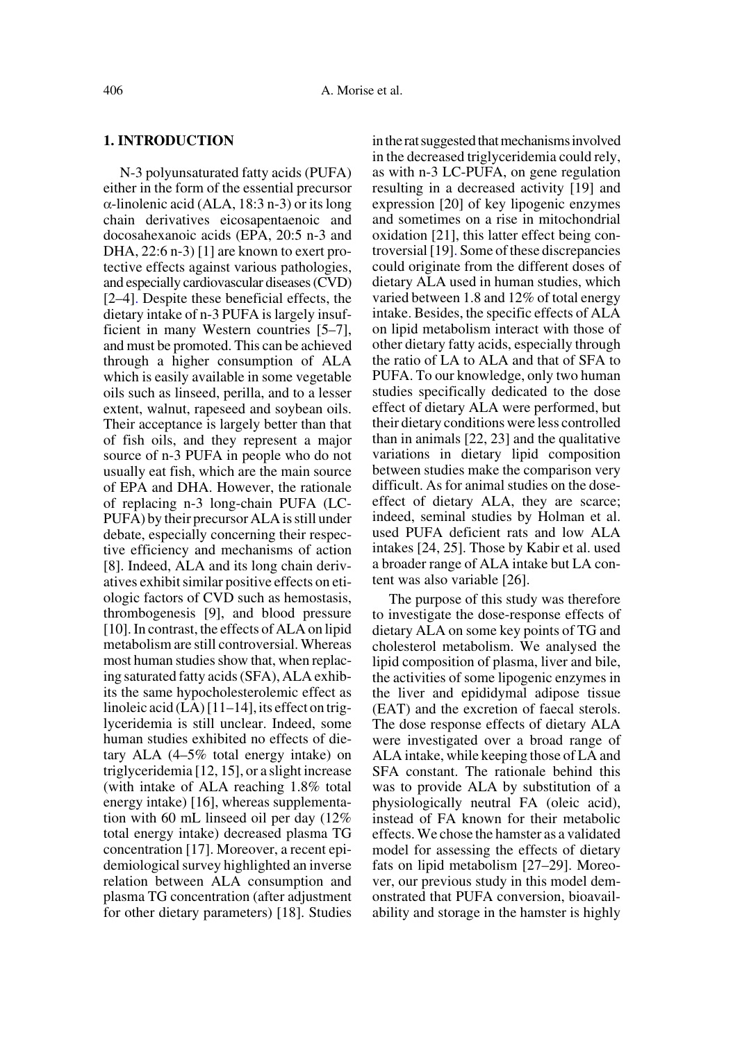## **1. INTRODUCTION**

N-3 polyunsaturated fatty acids (PUFA) either in the form of the essential precursor α-linolenic acid (ALA, 18:3 n-3) or its long chain derivatives eicosapentaenoic and docosahexanoic acids (EPA, 20:5 n-3 and DHA, 22:6 n-3) [1] are known to exert protective effects against various pathologies, and especially cardiovascular diseases (CVD) [2–4]. Despite these beneficial effects, the dietary intake of n-3 PUFA is largely insufficient in many Western countries [5–7], and must be promoted. This can be achieved through a higher consumption of ALA which is easily available in some vegetable oils such as linseed, perilla, and to a lesser extent, walnut, rapeseed and soybean oils. Their acceptance is largely better than that of fish oils, and they represent a major source of n-3 PUFA in people who do not usually eat fish, which are the main source of EPA and DHA. However, the rationale of replacing n-3 long-chain PUFA (LC-PUFA) by their precursor ALA is still under debate, especially concerning their respective efficiency and mechanisms of action [8]. Indeed, ALA and its long chain derivatives exhibit similar positive effects on etiologic factors of CVD such as hemostasis, thrombogenesis [9], and blood pressure [10]. In contrast, the effects of ALA on lipid metabolism are still controversial. Whereas most human studies show that, when replacing saturated fatty acids (SFA), ALA exhibits the same hypocholesterolemic effect as linoleic acid (LA) [11–14], its effect on triglyceridemia is still unclear. Indeed, some human studies exhibited no effects of dietary ALA (4–5% total energy intake) on triglyceridemia [12, 15], or a slight increase (with intake of ALA reaching 1.8% total energy intake) [16], whereas supplementation with 60 mL linseed oil per day (12% total energy intake) decreased plasma TG concentration [17]. Moreover, a recent epidemiological survey highlighted an inverse relation between ALA consumption and plasma TG concentration (after adjustment for other dietary parameters) [18]. Studies in the rat suggested that mechanisms involved in the decreased triglyceridemia could rely, as with n-3 LC-PUFA, on gene regulation resulting in a decreased activity [19] and expression [20] of key lipogenic enzymes and sometimes on a rise in mitochondrial oxidation [21], this latter effect being controversial [19]. Some of these discrepancies could originate from the different doses of dietary ALA used in human studies, which varied between 1.8 and 12% of total energy intake. Besides, the specific effects of ALA on lipid metabolism interact with those of other dietary fatty acids, especially through the ratio of LA to ALA and that of SFA to PUFA. To our knowledge, only two human studies specifically dedicated to the dose effect of dietary ALA were performed, but their dietary conditions were less controlled than in animals [22, 23] and the qualitative variations in dietary lipid composition between studies make the comparison very difficult. As for animal studies on the doseeffect of dietary ALA, they are scarce; indeed, seminal studies by Holman et al. used PUFA deficient rats and low ALA intakes [24, 25]. Those by Kabir et al. used a broader range of ALA intake but LA content was also variable [26].

The purpose of this study was therefore to investigate the dose-response effects of dietary ALA on some key points of TG and cholesterol metabolism. We analysed the lipid composition of plasma, liver and bile, the activities of some lipogenic enzymes in the liver and epididymal adipose tissue (EAT) and the excretion of faecal sterols. The dose response effects of dietary ALA were investigated over a broad range of ALA intake, while keeping those of LA and SFA constant. The rationale behind this was to provide ALA by substitution of a physiologically neutral FA (oleic acid), instead of FA known for their metabolic effects. We chose the hamster as a validated model for assessing the effects of dietary fats on lipid metabolism [27–29]. Moreover, our previous study in this model demonstrated that PUFA conversion, bioavailability and storage in the hamster is highly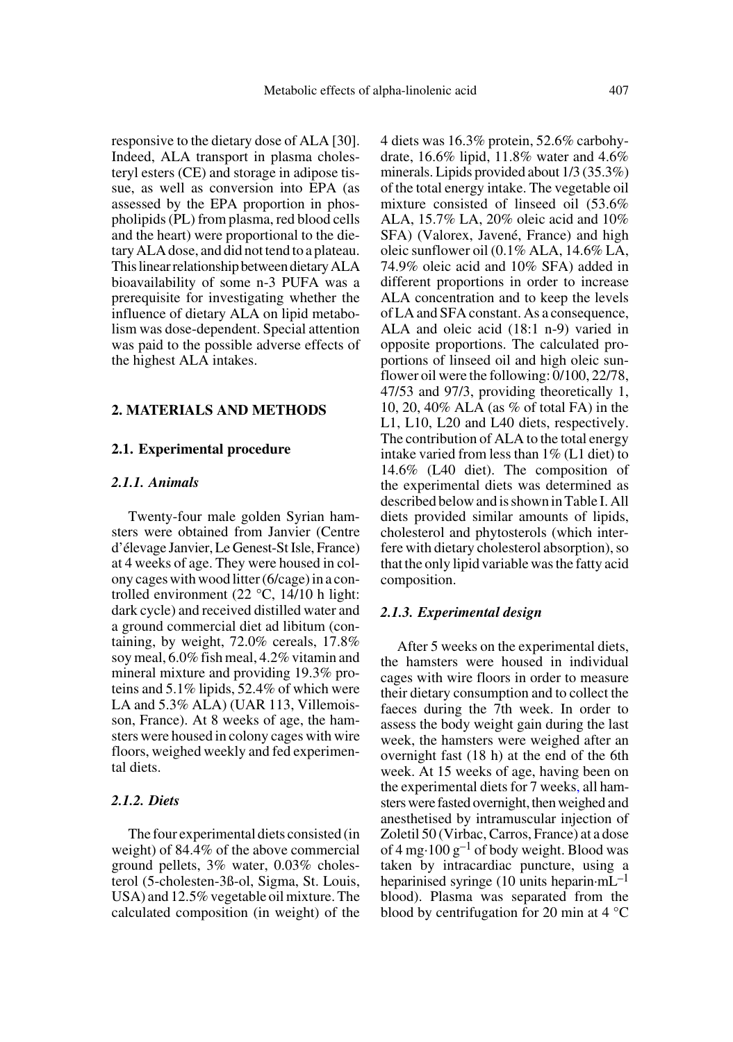responsive to the dietary dose of ALA [30]. Indeed, ALA transport in plasma cholesteryl esters (CE) and storage in adipose tissue, as well as conversion into EPA (as assessed by the EPA proportion in phospholipids (PL) from plasma, red blood cells and the heart) were proportional to the dietary ALA dose, and did not tend to a plateau. This linear relationship between dietary ALA bioavailability of some n-3 PUFA was a prerequisite for investigating whether the influence of dietary ALA on lipid metabolism was dose-dependent. Special attention was paid to the possible adverse effects of the highest ALA intakes.

## **2. MATERIALS AND METHODS**

#### **2.1. Experimental procedure**

#### *2.1.1. Animals*

Twenty-four male golden Syrian hamsters were obtained from Janvier (Centre d'élevage Janvier, Le Genest-St Isle, France) at 4 weeks of age. They were housed in colony cages with wood litter (6/cage) in a controlled environment (22 °C, 14/10 h light: dark cycle) and received distilled water and a ground commercial diet ad libitum (containing, by weight, 72.0% cereals, 17.8% soy meal, 6.0% fish meal, 4.2% vitamin and mineral mixture and providing 19.3% proteins and 5.1% lipids, 52.4% of which were LA and 5.3% ALA) (UAR 113, Villemoisson, France). At 8 weeks of age, the hamsters were housed in colony cages with wire floors, weighed weekly and fed experimental diets.

## *2.1.2. Diets*

The four experimental diets consisted (in weight) of 84.4% of the above commercial ground pellets, 3% water, 0.03% cholesterol (5-cholesten-3ß-ol, Sigma, St. Louis, USA) and 12.5% vegetable oil mixture. The calculated composition (in weight) of the

4 diets was 16.3% protein, 52.6% carbohydrate, 16.6% lipid, 11.8% water and 4.6% minerals. Lipids provided about 1/3 (35.3%) of the total energy intake. The vegetable oil mixture consisted of linseed oil (53.6% ALA, 15.7% LA, 20% oleic acid and 10% SFA) (Valorex, Javené, France) and high oleic sunflower oil (0.1% ALA, 14.6% LA, 74.9% oleic acid and 10% SFA) added in different proportions in order to increase ALA concentration and to keep the levels of LA and SFA constant. As a consequence, ALA and oleic acid (18:1 n-9) varied in opposite proportions. The calculated proportions of linseed oil and high oleic sunflower oil were the following: 0/100, 22/78, 47/53 and 97/3, providing theoretically 1, 10, 20, 40% ALA (as % of total FA) in the L1, L10, L20 and L40 diets, respectively. The contribution of ALA to the total energy intake varied from less than 1% (L1 diet) to 14.6% (L40 diet). The composition of the experimental diets was determined as described below and is shown in Table I. All diets provided similar amounts of lipids, cholesterol and phytosterols (which interfere with dietary cholesterol absorption), so that the only lipid variable was the fatty acid composition.

#### *2.1.3. Experimental design*

After 5 weeks on the experimental diets, the hamsters were housed in individual cages with wire floors in order to measure their dietary consumption and to collect the faeces during the 7th week. In order to assess the body weight gain during the last week, the hamsters were weighed after an overnight fast (18 h) at the end of the 6th week. At 15 weeks of age, having been on the experimental diets for 7 weeks, all hamsters were fasted overnight, then weighed and anesthetised by intramuscular injection of Zoletil 50 (Virbac, Carros, France) at a dose of 4 mg $\cdot$ 100 g<sup>-1</sup> of body weight. Blood was taken by intracardiac puncture, using a heparinised syringe (10 units heparin $\cdot$ mL<sup>-1</sup> blood). Plasma was separated from the blood by centrifugation for 20 min at 4 °C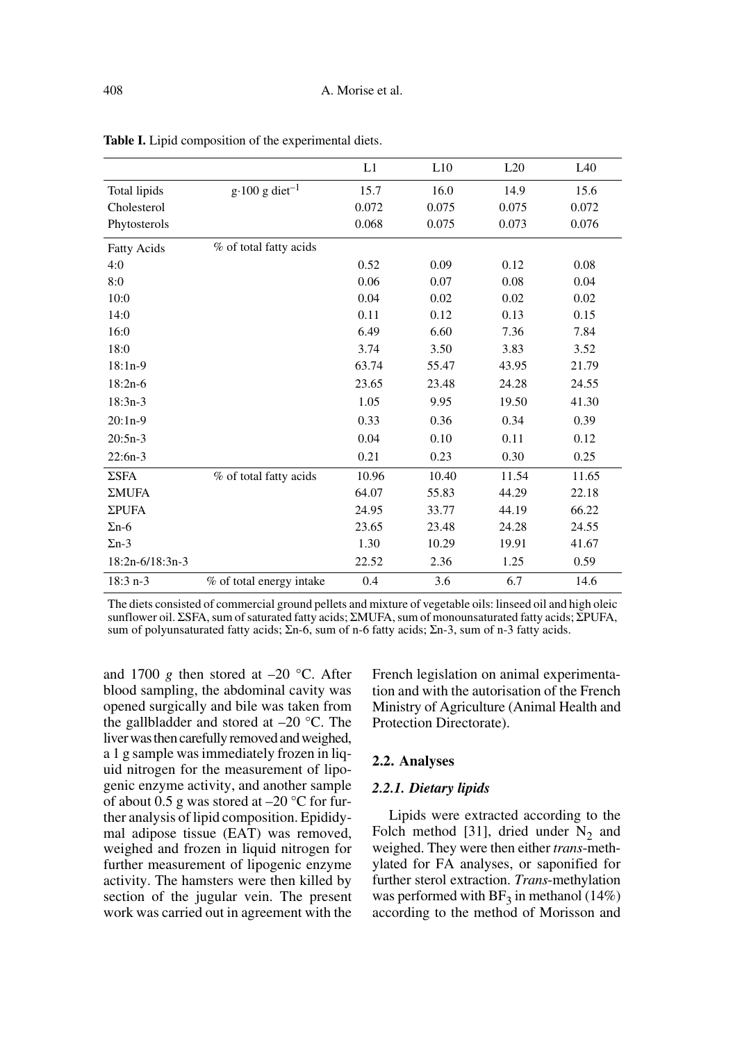|                    |                                    | L1    | L10   | L20   | L40   |
|--------------------|------------------------------------|-------|-------|-------|-------|
| Total lipids       | $g \cdot 100$ g diet <sup>-1</sup> | 15.7  | 16.0  | 14.9  | 15.6  |
| Cholesterol        |                                    | 0.072 | 0.075 | 0.075 | 0.072 |
| Phytosterols       |                                    | 0.068 | 0.075 | 0.073 | 0.076 |
| <b>Fatty Acids</b> | % of total fatty acids             |       |       |       |       |
| 4:0                |                                    | 0.52  | 0.09  | 0.12  | 0.08  |
| 8:0                |                                    | 0.06  | 0.07  | 0.08  | 0.04  |
| 10:0               |                                    | 0.04  | 0.02  | 0.02  | 0.02  |
| 14:0               |                                    | 0.11  | 0.12  | 0.13  | 0.15  |
| 16:0               |                                    | 6.49  | 6.60  | 7.36  | 7.84  |
| 18:0               |                                    | 3.74  | 3.50  | 3.83  | 3.52  |
| $18:1n-9$          |                                    | 63.74 | 55.47 | 43.95 | 21.79 |
| $18:2n-6$          |                                    | 23.65 | 23.48 | 24.28 | 24.55 |
| $18:3n-3$          |                                    | 1.05  | 9.95  | 19.50 | 41.30 |
| $20:1n-9$          |                                    | 0.33  | 0.36  | 0.34  | 0.39  |
| $20:5n-3$          |                                    | 0.04  | 0.10  | 0.11  | 0.12  |
| $22:6n-3$          |                                    | 0.21  | 0.23  | 0.30  | 0.25  |
| ΣSFA               | % of total fatty acids             | 10.96 | 10.40 | 11.54 | 11.65 |
| ΣMUFA              |                                    | 64.07 | 55.83 | 44.29 | 22.18 |
| <b>ΣPUFA</b>       |                                    | 24.95 | 33.77 | 44.19 | 66.22 |
| $\Sigma$ n-6       |                                    | 23.65 | 23.48 | 24.28 | 24.55 |
| $\Sigma$ n-3       |                                    | 1.30  | 10.29 | 19.91 | 41.67 |
| $18:2n-6/18:3n-3$  |                                    | 22.52 | 2.36  | 1.25  | 0.59  |
| $18:3 n-3$         | % of total energy intake           | 0.4   | 3.6   | 6.7   | 14.6  |

**Table I.** Lipid composition of the experimental diets.

The diets consisted of commercial ground pellets and mixture of vegetable oils: linseed oil and high oleic sunflower oil. ΣSFA, sum of saturated fatty acids; ΣMUFA, sum of monounsaturated fatty acids; ΣPUFA, sum of polyunsaturated fatty acids; Σn-6, sum of n-6 fatty acids; Σn-3, sum of n-3 fatty acids.

and 1700 *g* then stored at  $-20$  °C. After blood sampling, the abdominal cavity was opened surgically and bile was taken from the gallbladder and stored at  $-20$  °C. The liver was then carefully removed and weighed, a 1 g sample was immediately frozen in liquid nitrogen for the measurement of lipogenic enzyme activity, and another sample of about 0.5 g was stored at  $-20$  °C for further analysis of lipid composition. Epididymal adipose tissue (EAT) was removed, weighed and frozen in liquid nitrogen for further measurement of lipogenic enzyme activity. The hamsters were then killed by section of the jugular vein. The present work was carried out in agreement with the

French legislation on animal experimentation and with the autorisation of the French Ministry of Agriculture (Animal Health and Protection Directorate).

## **2.2. Analyses**

## *2.2.1. Dietary lipids*

Lipids were extracted according to the Folch method [31], dried under  $N_2$  and weighed. They were then either *trans*-methylated for FA analyses, or saponified for further sterol extraction. *Trans*-methylation was performed with  $BF_3$  in methanol (14%) according to the method of Morisson and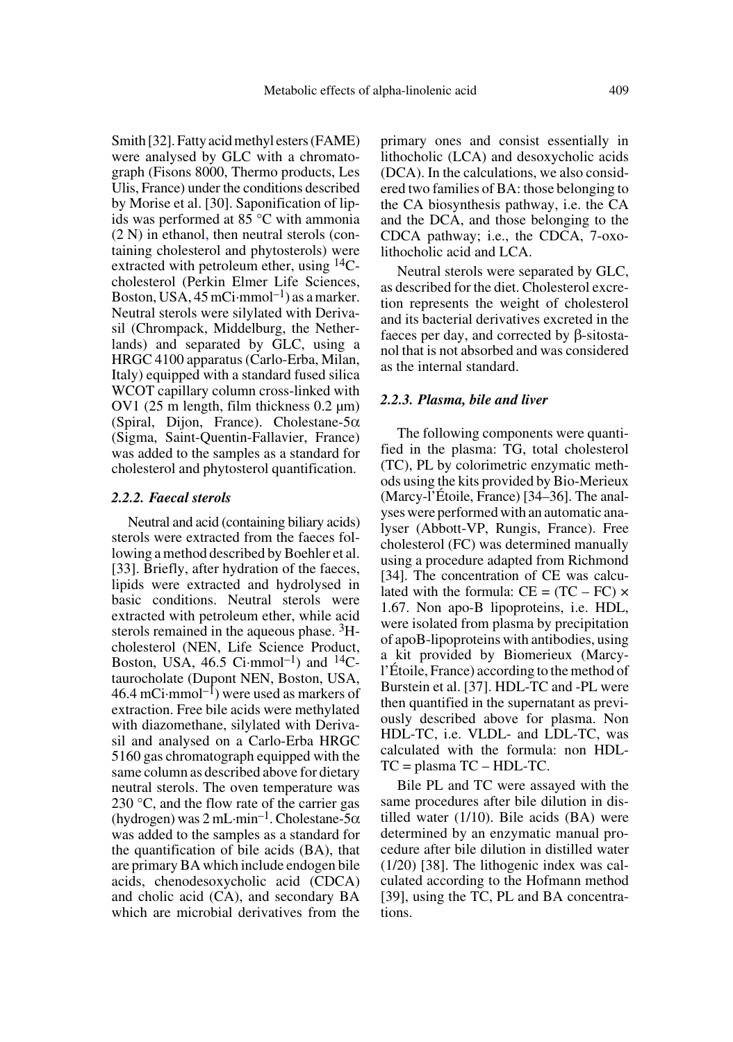Smith [32]. Fatty acid methyl esters (FAME) were analysed by GLC with a chromatograph (Fisons 8000, Thermo products, Les Ulis, France) under the conditions described by Morise et al. [30]. Saponification of lipids was performed at 85 °C with ammonia (2 N) in ethanol, then neutral sterols (containing cholesterol and phytosterols) were extracted with petroleum ether, using <sup>14</sup>Ccholesterol (Perkin Elmer Life Sciences, Boston, USA,  $45 \text{ mCi·mmol}^{-1}$ ) as a marker. Neutral sterols were silylated with Derivasil (Chrompack, Middelburg, the Netherlands) and separated by GLC, using a HRGC 4100 apparatus (Carlo-Erba, Milan, Italy) equipped with a standard fused silica WCOT capillary column cross-linked with OV1 (25 m length, film thickness 0.2 µm) (Spiral, Dijon, France). Cholestane- $5\alpha$ (Sigma, Saint-Quentin-Fallavier, France) was added to the samples as a standard for cholesterol and phytosterol quantification.

### *2.2.2. Faecal sterols*

Neutral and acid (containing biliary acids) sterols were extracted from the faeces following a method described by Boehler et al. [33]. Briefly, after hydration of the faeces, lipids were extracted and hydrolysed in basic conditions. Neutral sterols were extracted with petroleum ether, while acid sterols remained in the aqueous phase. <sup>3</sup>Hcholesterol (NEN, Life Science Product, Boston, USA,  $46.5$  Ci·mmol<sup>-1</sup>) and <sup>14</sup>Ctaurocholate (Dupont NEN, Boston, USA, 46.4 mCi·mmol<sup>-1</sup>) were used as markers of extraction. Free bile acids were methylated with diazomethane, silylated with Derivasil and analysed on a Carlo-Erba HRGC 5160 gas chromatograph equipped with the same column as described above for dietary neutral sterols. The oven temperature was 230 °C, and the flow rate of the carrier gas (hydrogen) was  $2 \text{ mL-min}^{-1}$ . Cholestane-5 $\alpha$ was added to the samples as a standard for the quantification of bile acids (BA), that are primary BA which include endogen bile acids, chenodesoxycholic acid (CDCA) and cholic acid (CA), and secondary BA which are microbial derivatives from the

primary ones and consist essentially in lithocholic (LCA) and desoxycholic acids (DCA). In the calculations, we also considered two families of BA: those belonging to the CA biosynthesis pathway, i.e. the CA and the DCA, and those belonging to the CDCA pathway; i.e., the CDCA, 7-oxolithocholic acid and LCA.

Neutral sterols were separated by GLC, as described for the diet. Cholesterol excretion represents the weight of cholesterol and its bacterial derivatives excreted in the faeces per day, and corrected by β-sitostanol that is not absorbed and was considered as the internal standard.

## *2.2.3. Plasma, bile and liver*

The following components were quantified in the plasma: TG, total cholesterol (TC), PL by colorimetric enzymatic methods using the kits provided by Bio-Merieux (Marcy-l'Étoile, France) [34–36]. The analyses were performed with an automatic analyser (Abbott-VP, Rungis, France). Free cholesterol (FC) was determined manually using a procedure adapted from Richmond [34]. The concentration of CE was calculated with the formula:  $CE = (TC - FC) \times$ 1.67. Non apo-B lipoproteins, i.e. HDL, were isolated from plasma by precipitation of apoB-lipoproteins with antibodies, using a kit provided by Biomerieux (Marcyl'Étoile, France) according to the method of Burstein et al. [37]. HDL-TC and -PL were then quantified in the supernatant as previously described above for plasma. Non HDL-TC, i.e. VLDL- and LDL-TC, was calculated with the formula: non HDL-TC = plasma TC – HDL-TC.

Bile PL and TC were assayed with the same procedures after bile dilution in distilled water (1/10). Bile acids (BA) were determined by an enzymatic manual procedure after bile dilution in distilled water (1/20) [38]. The lithogenic index was calculated according to the Hofmann method [39], using the TC, PL and BA concentrations.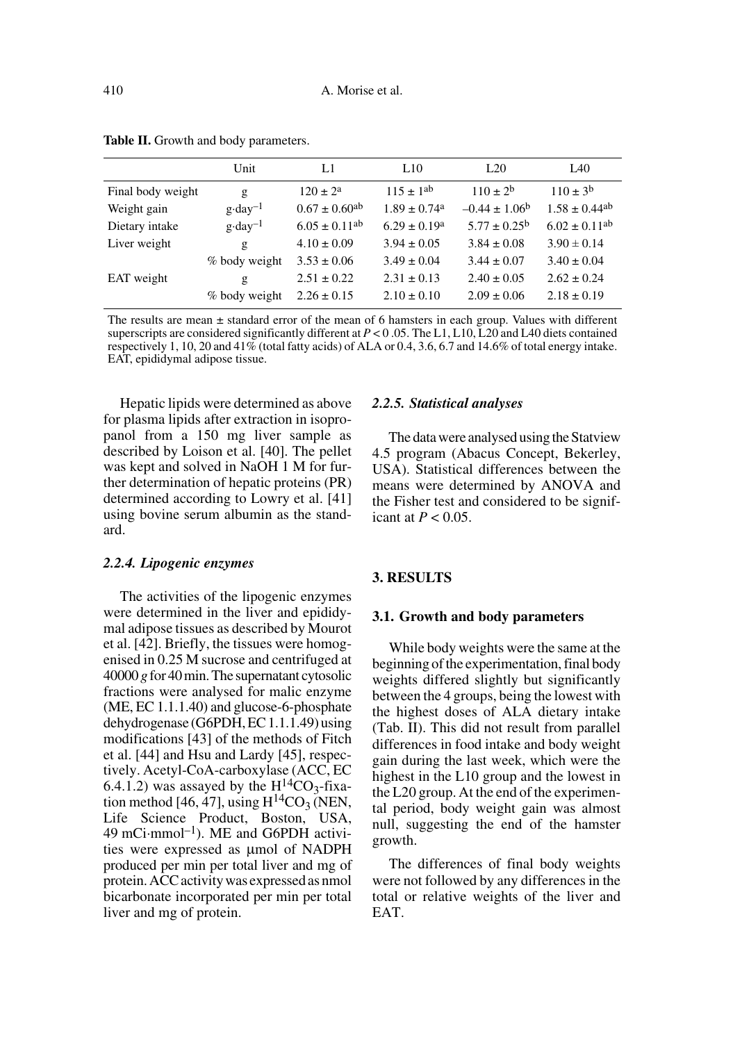|                   | Unit               | L1                            | L10                          | L20                      | IA0                           |
|-------------------|--------------------|-------------------------------|------------------------------|--------------------------|-------------------------------|
| Final body weight | g                  | $120 \pm 2^a$                 | $115 \pm 1^{ab}$             | $110 \pm 2^b$            | $110 + 3b$                    |
| Weight gain       | $g \cdot day^{-1}$ | $0.67 \pm 0.60$ <sup>ab</sup> | $1.89 \pm 0.74$ <sup>a</sup> | $-0.44 \pm 1.06^{\circ}$ | $1.58 \pm 0.44$ <sup>ab</sup> |
| Dietary intake    | $g \cdot day^{-1}$ | $6.05 \pm 0.11^{ab}$          | $6.29 \pm 0.19^a$            | $5.77 \pm 0.25^{\rm b}$  | $6.02 \pm 0.11^{ab}$          |
| Liver weight      | g                  | $4.10 \pm 0.09$               | $3.94 \pm 0.05$              | $3.84 \pm 0.08$          | $3.90 \pm 0.14$               |
|                   | % body weight      | $3.53 \pm 0.06$               | $3.49 \pm 0.04$              | $3.44 \pm 0.07$          | $3.40 \pm 0.04$               |
| EAT weight        | g                  | $2.51 \pm 0.22$               | $2.31 \pm 0.13$              | $2.40 \pm 0.05$          | $2.62 \pm 0.24$               |
|                   | % body weight      | $2.26 \pm 0.15$               | $2.10 \pm 0.10$              | $2.09 \pm 0.06$          | $2.18 \pm 0.19$               |

Table II. Growth and body parameters.

The results are mean  $\pm$  standard error of the mean of 6 hamsters in each group. Values with different superscripts are considered significantly different at  $P < 0.05$ . The L1, L10, L20 and L40 diets contained respectively 1, 10, 20 and 41% (total fatty acids) of ALA or 0.4, 3.6, 6.7 and 14.6% of total energy intake. EAT, epididymal adipose tissue.

Hepatic lipids were determined as above for plasma lipids after extraction in isopropanol from a 150 mg liver sample as described by Loison et al. [40]. The pellet was kept and solved in NaOH 1 M for further determination of hepatic proteins (PR) determined according to Lowry et al. [41] using bovine serum albumin as the standard.

#### *2.2.4. Lipogenic enzymes*

The activities of the lipogenic enzymes were determined in the liver and epididymal adipose tissues as described by Mourot et al. [42]. Briefly, the tissues were homogenised in 0.25 M sucrose and centrifuged at 40000 *g* for 40 min. The supernatant cytosolic fractions were analysed for malic enzyme (ME, EC 1.1.1.40) and glucose-6-phosphate dehydrogenase (G6PDH, EC 1.1.1.49) using modifications [43] of the methods of Fitch et al. [44] and Hsu and Lardy [45], respectively. Acetyl-CoA-carboxylase (ACC, EC 6.4.1.2) was assayed by the  $H^{14}CO_3$ -fixation method [46, 47], using  $H^{14}CO_3$  (NEN, Life Science Product, Boston, USA, 49 mCi·mmol<sup>-1</sup>). ME and G6PDH activities were expressed as µmol of NADPH produced per min per total liver and mg of protein. ACC activity was expressed as nmol bicarbonate incorporated per min per total liver and mg of protein.

#### *2.2.5. Statistical analyses*

The data were analysed using the Statview 4.5 program (Abacus Concept, Bekerley, USA). Statistical differences between the means were determined by ANOVA and the Fisher test and considered to be significant at  $P < 0.05$ .

## **3. RESULTS**

#### **3.1. Growth and body parameters**

While body weights were the same at the beginning of the experimentation, final body weights differed slightly but significantly between the 4 groups, being the lowest with the highest doses of ALA dietary intake (Tab. II). This did not result from parallel differences in food intake and body weight gain during the last week, which were the highest in the L10 group and the lowest in the L20 group. At the end of the experimental period, body weight gain was almost null, suggesting the end of the hamster growth.

The differences of final body weights were not followed by any differences in the total or relative weights of the liver and EAT.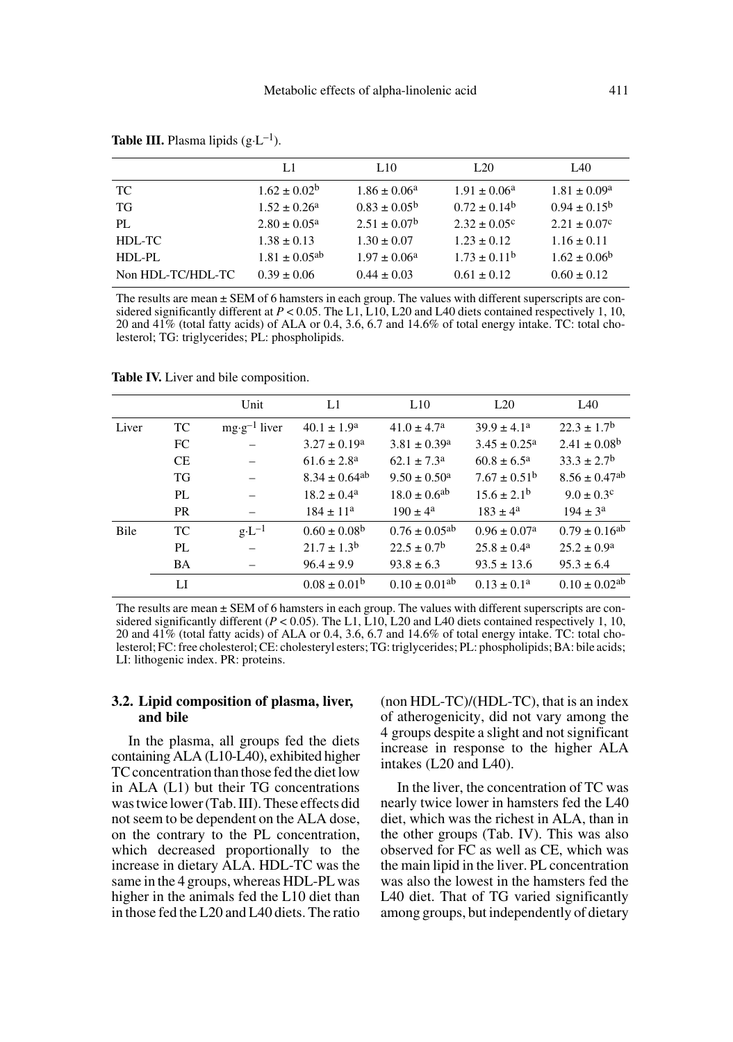|                   | L1                            | L <sub>10</sub>         | L <sub>20</sub>            | L <sub>40</sub>         |
|-------------------|-------------------------------|-------------------------|----------------------------|-------------------------|
| TC                | $1.62 \pm 0.02^b$             | $1.86 \pm 0.06^a$       | $1.91 \pm 0.06^{\text{a}}$ | $1.81 \pm 0.09^{\rm a}$ |
| TG                | $1.52 \pm 0.26^a$             | $0.83 \pm 0.05^{\circ}$ | $0.72 \pm 0.14^b$          | $0.94 \pm 0.15^{\circ}$ |
| PL.               | $2.80 \pm 0.05^{\circ}$       | $2.51 \pm 0.07^{\rm b}$ | $2.32 \pm 0.05^{\circ}$    | $2.21 \pm 0.07$ °       |
| HDL-TC            | $1.38 \pm 0.13$               | $1.30 \pm 0.07$         | $1.23 \pm 0.12$            | $1.16 \pm 0.11$         |
| $HDL-PL$          | $1.81 \pm 0.05$ <sup>ab</sup> | $1.97 \pm 0.06^{\circ}$ | $1.73 \pm 0.11^b$          | $1.62 \pm 0.06^{\circ}$ |
| Non HDL-TC/HDL-TC | $0.39 \pm 0.06$               | $0.44 \pm 0.03$         | $0.61 \pm 0.12$            | $0.60 \pm 0.12$         |

**Table III.** Plasma lipids  $(g \cdot L^{-1})$ .

The results are mean  $\pm$  SEM of 6 hamsters in each group. The values with different superscripts are considered significantly different at *P* < 0.05. The L1, L10, L20 and L40 diets contained respectively 1, 10, 20 and 41% (total fatty acids) of ALA or 0.4, 3.6, 6.7 and 14.6% of total energy intake. TC: total cholesterol; TG: triglycerides; PL: phospholipids.

|       |           | Unit                    | L1                            | L10                           | L20                        | IA0                           |
|-------|-----------|-------------------------|-------------------------------|-------------------------------|----------------------------|-------------------------------|
| Liver | TC        | $mg \cdot g^{-1}$ liver | $40.1 \pm 1.9^a$              | $41.0 \pm 4.7^{\circ}$        | $39.9 \pm 4.1^a$           | $22.3 \pm 1.7^{\rm b}$        |
|       | FC        |                         | $3.27 \pm 0.19^a$             | $3.81 \pm 0.39^{\circ}$       | $3.45 \pm 0.25^{\text{a}}$ | $2.41 \pm 0.08^{\rm b}$       |
|       | CE        |                         | $61.6 \pm 2.8^{\rm a}$        | $62.1 \pm 7.3^{\circ}$        | $60.8 \pm 6.5^{\circ}$     | $33.3 \pm 2.7^{\rm b}$        |
|       | <b>TG</b> |                         | $8.34 \pm 0.64$ <sup>ab</sup> | $9.50 \pm 0.50^{\circ}$       | $7.67 \pm 0.51^{\rm b}$    | $8.56 \pm 0.47$ <sup>ab</sup> |
|       | PL        |                         | $18.2 \pm 0.4^{\circ}$        | $18.0 \pm 0.6$ <sup>ab</sup>  | $15.6 \pm 2.1^{\rm b}$     | $9.0 \pm 0.3$ c               |
|       | <b>PR</b> |                         | $184 \pm 11^a$                | $190 \pm 4^a$                 | $183 \pm 4^a$              | $194 \pm 3^a$                 |
| Bile  | TC        | $g \cdot L^{-1}$        | $0.60 \pm 0.08^{\rm b}$       | $0.76 \pm 0.05$ <sup>ab</sup> | $0.96 \pm 0.07^{\circ}$    | $0.79 \pm 0.16^{ab}$          |
|       | PL        |                         | $21.7 \pm 1.3^{\rm b}$        | $22.5 \pm 0.7^{\rm b}$        | $25.8 \pm 0.4^{\circ}$     | $25.2 \pm 0.9^{\rm a}$        |
|       | BA        |                         | $96.4 \pm 9.9$                | $93.8 \pm 6.3$                | $93.5 \pm 13.6$            | $95.3 \pm 6.4$                |
|       | LI        |                         | $0.08 \pm 0.01^{\rm b}$       | $0.10 \pm 0.01$ <sup>ab</sup> | $0.13 \pm 0.1^a$           | $0.10 \pm 0.02$ <sup>ab</sup> |

**Table IV.** Liver and bile composition.

The results are mean ± SEM of 6 hamsters in each group. The values with different superscripts are considered significantly different  $(P < 0.05)$ . The L1, L10, L20 and L40 diets contained respectively 1, 10, 20 and 41% (total fatty acids) of ALA or 0.4, 3.6, 6.7 and 14.6% of total energy intake. TC: total cholesterol; FC: free cholesterol; CE: cholesteryl esters; TG: triglycerides; PL: phospholipids; BA: bile acids; LI: lithogenic index. PR: proteins.

## **3.2. Lipid composition of plasma, liver, and bile**

In the plasma, all groups fed the diets containing ALA (L10-L40), exhibited higher TC concentration than those fed the diet low in ALA (L1) but their TG concentrations was twice lower (Tab. III). These effects did not seem to be dependent on the ALA dose, on the contrary to the PL concentration, which decreased proportionally to the increase in dietary ALA. HDL-TC was the same in the 4 groups, whereas HDL-PL was higher in the animals fed the L10 diet than in those fed the L20 and L40 diets. The ratio (non HDL-TC)/(HDL-TC), that is an index of atherogenicity, did not vary among the 4 groups despite a slight and not significant increase in response to the higher ALA intakes (L20 and L40).

In the liver, the concentration of TC was nearly twice lower in hamsters fed the L40 diet, which was the richest in ALA, than in the other groups (Tab. IV). This was also observed for FC as well as CE, which was the main lipid in the liver. PL concentration was also the lowest in the hamsters fed the L40 diet. That of TG varied significantly among groups, but independently of dietary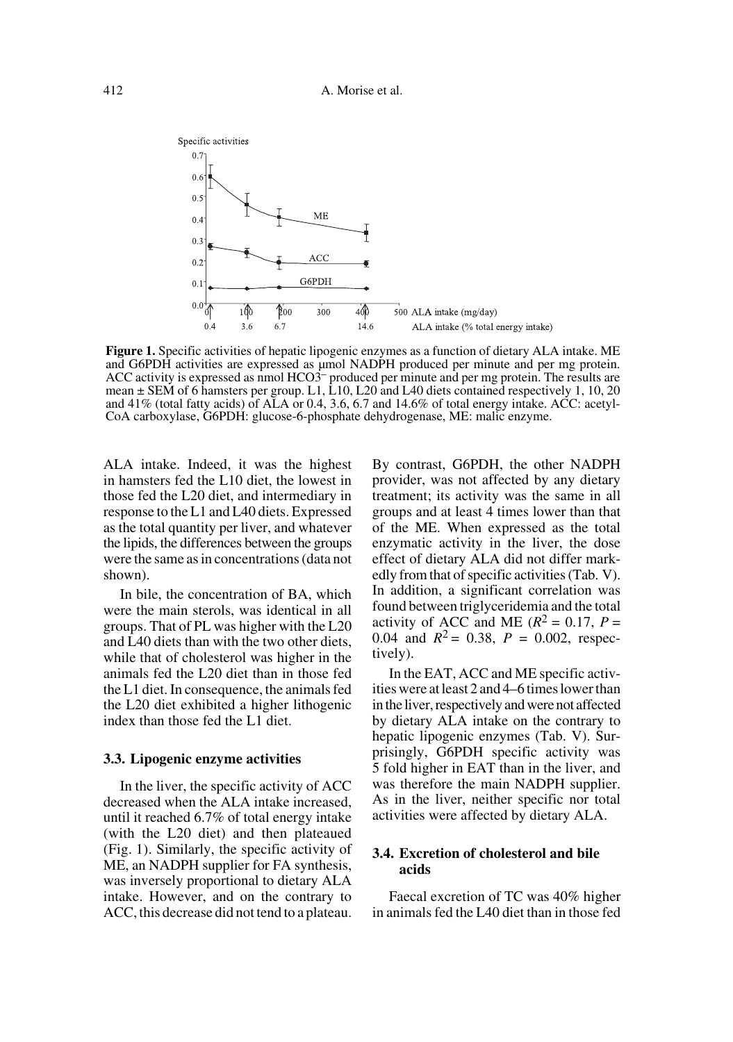

**Figure 1.** Specific activities of hepatic lipogenic enzymes as a function of dietary ALA intake. ME and G6PDH activities are expressed as µmol NADPH produced per minute and per mg protein. ACC activity is expressed as nmol HCO3– produced per minute and per mg protein. The results are mean ± SEM of 6 hamsters per group. L1, L10, L20 and L40 diets contained respectively 1, 10, 20 and 41% (total fatty acids) of ALA or 0.4, 3.6, 6.7 and 14.6% of total energy intake. ACC: acetyl-CoA carboxylase, G6PDH: glucose-6-phosphate dehydrogenase, ME: malic enzyme.

ALA intake. Indeed, it was the highest in hamsters fed the L10 diet, the lowest in those fed the L20 diet, and intermediary in response to the L1 and L40 diets. Expressed as the total quantity per liver, and whatever the lipids, the differences between the groups were the same as in concentrations (data not shown).

In bile, the concentration of BA, which were the main sterols, was identical in all groups. That of PL was higher with the L20 and L40 diets than with the two other diets, while that of cholesterol was higher in the animals fed the L20 diet than in those fed the L1 diet. In consequence, the animals fed the L20 diet exhibited a higher lithogenic index than those fed the L1 diet.

#### **3.3. Lipogenic enzyme activities**

In the liver, the specific activity of ACC decreased when the ALA intake increased, until it reached 6.7% of total energy intake (with the L20 diet) and then plateaued (Fig. 1). Similarly, the specific activity of ME, an NADPH supplier for FA synthesis, was inversely proportional to dietary ALA intake. However, and on the contrary to ACC, this decrease did not tend to a plateau.

By contrast, G6PDH, the other NADPH provider, was not affected by any dietary treatment; its activity was the same in all groups and at least 4 times lower than that of the ME. When expressed as the total enzymatic activity in the liver, the dose effect of dietary ALA did not differ markedly from that of specific activities (Tab. V). In addition, a significant correlation was found between triglyceridemia and the total activity of ACC and ME  $(R^2 = 0.17, P =$ 0.04 and  $R^2 = 0.38$ ,  $P = 0.002$ , respectively).

In the EAT, ACC and ME specific activities were at least 2 and 4–6 times lower than in the liver, respectively and were not affected by dietary ALA intake on the contrary to hepatic lipogenic enzymes (Tab. V). Surprisingly, G6PDH specific activity was 5 fold higher in EAT than in the liver, and was therefore the main NADPH supplier. As in the liver, neither specific nor total activities were affected by dietary ALA.

## **3.4. Excretion of cholesterol and bile acids**

Faecal excretion of TC was 40% higher in animals fed the L40 diet than in those fed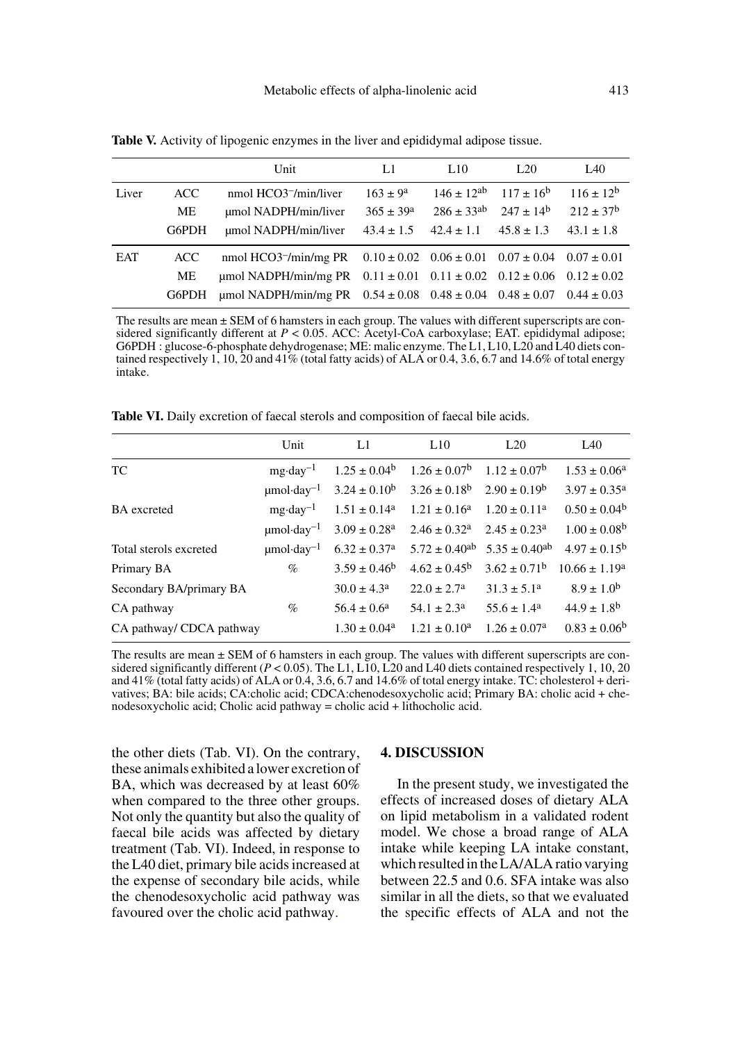|       |       | Unit                                                                                              | L1                   | 1.10                                         | L <sub>20</sub> | L <sub>40</sub>      |
|-------|-------|---------------------------------------------------------------------------------------------------|----------------------|----------------------------------------------|-----------------|----------------------|
| Liver | ACC.  | nmol HCO3 <sup>-</sup> /min/liver                                                                 | $163 \pm 9^a$        | $146 \pm 12^{ab}$ $117 \pm 16^b$             |                 | $116 \pm 12^{b}$     |
|       | ME    | umol NADPH/min/liver                                                                              | $365 \pm 39^{\circ}$ | $286 \pm 33^{ab}$ $247 \pm 14^{b}$           |                 | $212 \pm 37^{\rm b}$ |
|       | G6PDH | umol NADPH/min/liver                                                                              |                      | $43.4 \pm 1.5$ $42.4 \pm 1.1$ $45.8 \pm 1.3$ |                 | $43.1 \pm 1.8$       |
| EAT   | ACC.  | nmol HCO3 <sup>-</sup> /min/mg PR $0.10 \pm 0.02$ $0.06 \pm 0.01$ $0.07 \pm 0.04$ $0.07 \pm 0.01$ |                      |                                              |                 |                      |
|       | МE    | umol NADPH/min/mg PR $0.11 \pm 0.01$ $0.11 \pm 0.02$ $0.12 \pm 0.06$ $0.12 \pm 0.02$              |                      |                                              |                 |                      |
|       | G6PDH | umol NADPH/min/mg PR $0.54 \pm 0.08$ $0.48 \pm 0.04$ $0.48 \pm 0.07$ $0.44 \pm 0.03$              |                      |                                              |                 |                      |

**Table V.** Activity of lipogenic enzymes in the liver and epididymal adipose tissue.

The results are mean ± SEM of 6 hamsters in each group. The values with different superscripts are considered significantly different at *P* < 0.05. ACC: Acetyl-CoA carboxylase; EAT. epididymal adipose; G6PDH : glucose-6-phosphate dehydrogenase; ME: malic enzyme. The L1, L10, L20 and L40 diets contained respectively 1, 10, 20 and 41% (total fatty acids) of ALA or 0.4, 3.6, 6.7 and 14.6% of total energy intake.

**Table VI.** Daily excretion of faecal sterols and composition of faecal bile acids.

|                          | Unit                        | L1                           | L10                                                   | L20                                       | IA0                         |
|--------------------------|-----------------------------|------------------------------|-------------------------------------------------------|-------------------------------------------|-----------------------------|
| <b>TC</b>                | $mg \cdot \text{day}^{-1}$  | $1.25 \pm 0.04^{\rm b}$      | $1.26 \pm 0.07^{\rm b}$ $1.12 \pm 0.07^{\rm b}$       |                                           | $1.53 \pm 0.06^{\circ}$     |
|                          | $\mu$ mol·day <sup>-1</sup> |                              | $3.24 \pm 0.10^b$ $3.26 \pm 0.18^b$ $2.90 \pm 0.19^b$ |                                           | $3.97 \pm 0.35^{\text{a}}$  |
| <b>BA</b> excreted       | $mg \cdot \text{day}^{-1}$  | $1.51 \pm 0.14^a$            | $1.21 \pm 0.16^a$                                     | $1.20 \pm 0.11^a$                         | $0.50 \pm 0.04^b$           |
|                          | $\mu$ mol·day <sup>-1</sup> | $3.09 \pm 0.28$ <sup>a</sup> | $2.46 \pm 0.32^{\text{a}}$ $2.45 \pm 0.23^{\text{a}}$ |                                           | $1.00 \pm 0.08^{\circ}$     |
| Total sterols excreted   | $\mu$ mol·day <sup>-1</sup> | $6.32 \pm 0.37$ <sup>a</sup> |                                                       | $5.72 \pm 0.40^{ab}$ $5.35 \pm 0.40^{ab}$ | $4.97 \pm 0.15^{\rm b}$     |
| Primary BA               | $\%$                        | $3.59 \pm 0.46^b$            | $4.62 \pm 0.45^{\rm b}$                               | $3.62 \pm 0.71^{\rm b}$                   | $10.66 \pm 1.19^a$          |
| Secondary BA/primary BA  |                             | $30.0 \pm 4.3^{\circ}$       | $22.0 \pm 2.7^{\circ}$                                | $31.3 \pm 5.1^a$                          | $8.9 \pm 1.0^b$             |
| CA pathway               | $\%$                        | $56.4 \pm 0.6^a$             | $54.1 \pm 2.3^{\circ}$                                | $55.6 \pm 1.4^{\circ}$                    | $44.9 \pm 1.8$ <sup>b</sup> |
| CA pathway/ CDCA pathway |                             | $1.30 \pm 0.04^{\circ}$      | $1.21 \pm 0.10^a$                                     | $1.26 \pm 0.07^a$                         | $0.83 \pm 0.06^{\rm b}$     |

The results are mean  $\pm$  SEM of 6 hamsters in each group. The values with different superscripts are considered significantly different ( $P < 0.05$ ). The L1, L10, L20 and L40 diets contained respectively 1, 10, 20 and 41% (total fatty acids) of ALA or 0.4, 3.6, 6.7 and 14.6% of total energy intake. TC: cholesterol + derivatives; BA: bile acids; CA:cholic acid; CDCA:chenodesoxycholic acid; Primary BA: cholic acid + chenodesoxycholic acid; Cholic acid pathway = cholic acid + lithocholic acid.

the other diets (Tab. VI). On the contrary, these animals exhibited a lower excretion of BA, which was decreased by at least 60% when compared to the three other groups. Not only the quantity but also the quality of faecal bile acids was affected by dietary treatment (Tab. VI). Indeed, in response to the L40 diet, primary bile acids increased at the expense of secondary bile acids, while the chenodesoxycholic acid pathway was favoured over the cholic acid pathway.

#### **4. DISCUSSION**

In the present study, we investigated the effects of increased doses of dietary ALA on lipid metabolism in a validated rodent model. We chose a broad range of ALA intake while keeping LA intake constant, which resulted in the LA/ALA ratio varying between 22.5 and 0.6. SFA intake was also similar in all the diets, so that we evaluated the specific effects of ALA and not the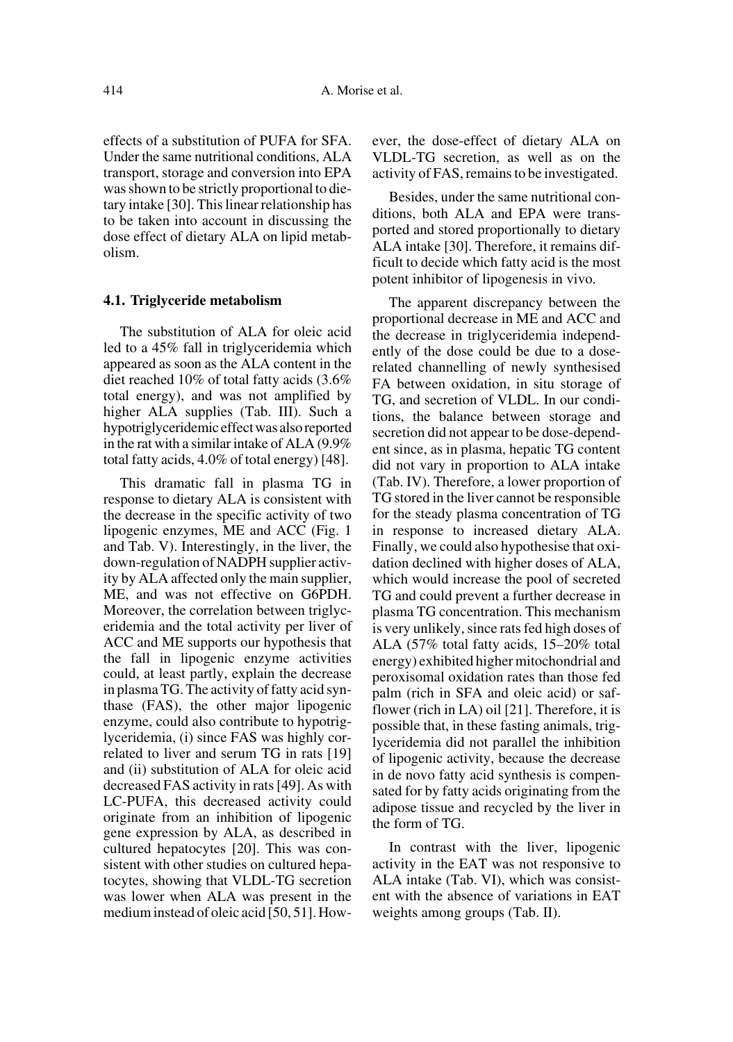effects of a substitution of PUFA for SFA. Under the same nutritional conditions, ALA transport, storage and conversion into EPA was shown to be strictly proportional to dietary intake [30]. This linear relationship has to be taken into account in discussing the dose effect of dietary ALA on lipid metabolism.

#### **4.1. Triglyceride metabolism**

The substitution of ALA for oleic acid led to a 45% fall in triglyceridemia which appeared as soon as the ALA content in the diet reached 10% of total fatty acids (3.6% total energy), and was not amplified by higher ALA supplies (Tab. III). Such a hypotriglyceridemic effect was also reported in the rat with a similar intake of ALA (9.9% total fatty acids, 4.0% of total energy) [48].

This dramatic fall in plasma TG in response to dietary ALA is consistent with the decrease in the specific activity of two lipogenic enzymes, ME and ACC (Fig. 1 and Tab. V). Interestingly, in the liver, the down-regulation of NADPH supplier activity by ALA affected only the main supplier, ME, and was not effective on G6PDH. Moreover, the correlation between triglyceridemia and the total activity per liver of ACC and ME supports our hypothesis that the fall in lipogenic enzyme activities could, at least partly, explain the decrease in plasma TG. The activity of fatty acid synthase (FAS), the other major lipogenic enzyme, could also contribute to hypotriglyceridemia, (i) since FAS was highly correlated to liver and serum TG in rats [19] and (ii) substitution of ALA for oleic acid decreased FAS activity in rats [49]. As with LC-PUFA, this decreased activity could originate from an inhibition of lipogenic gene expression by ALA, as described in cultured hepatocytes [20]. This was consistent with other studies on cultured hepatocytes, showing that VLDL-TG secretion was lower when ALA was present in the medium instead of oleic acid [50, 51]. However, the dose-effect of dietary ALA on VLDL-TG secretion, as well as on the activity of FAS, remains to be investigated.

Besides, under the same nutritional conditions, both ALA and EPA were transported and stored proportionally to dietary ALA intake [30]. Therefore, it remains difficult to decide which fatty acid is the most potent inhibitor of lipogenesis in vivo.

The apparent discrepancy between the proportional decrease in ME and ACC and the decrease in triglyceridemia independently of the dose could be due to a doserelated channelling of newly synthesised FA between oxidation, in situ storage of TG, and secretion of VLDL. In our conditions, the balance between storage and secretion did not appear to be dose-dependent since, as in plasma, hepatic TG content did not vary in proportion to ALA intake (Tab. IV). Therefore, a lower proportion of TG stored in the liver cannot be responsible for the steady plasma concentration of TG in response to increased dietary ALA. Finally, we could also hypothesise that oxidation declined with higher doses of ALA, which would increase the pool of secreted TG and could prevent a further decrease in plasma TG concentration. This mechanism is very unlikely, since rats fed high doses of ALA (57% total fatty acids, 15–20% total energy) exhibited higher mitochondrial and peroxisomal oxidation rates than those fed palm (rich in SFA and oleic acid) or safflower (rich in LA) oil [21]. Therefore, it is possible that, in these fasting animals, triglyceridemia did not parallel the inhibition of lipogenic activity, because the decrease in de novo fatty acid synthesis is compensated for by fatty acids originating from the adipose tissue and recycled by the liver in the form of TG.

In contrast with the liver, lipogenic activity in the EAT was not responsive to ALA intake (Tab. VI), which was consistent with the absence of variations in EAT weights among groups (Tab. II).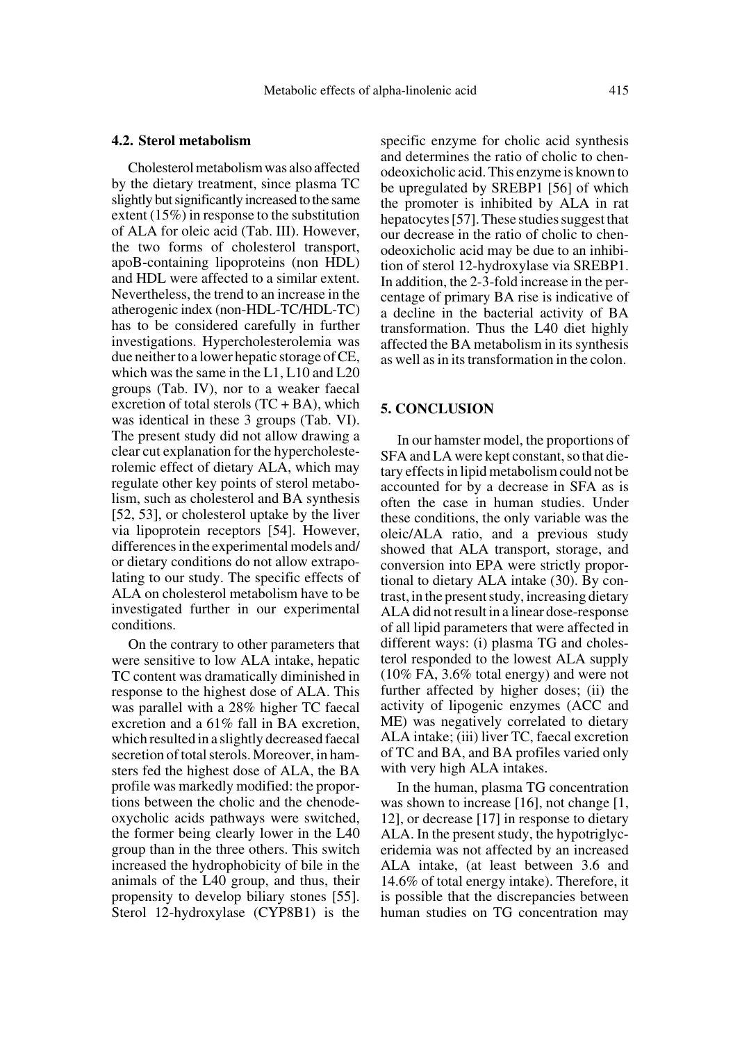## **4.2. Sterol metabolism**

Cholesterol metabolism was also affected by the dietary treatment, since plasma TC slightly but significantly increased to the same extent (15%) in response to the substitution of ALA for oleic acid (Tab. III). However, the two forms of cholesterol transport, apoB-containing lipoproteins (non HDL) and HDL were affected to a similar extent. Nevertheless, the trend to an increase in the atherogenic index (non-HDL-TC/HDL-TC) has to be considered carefully in further investigations. Hypercholesterolemia was due neither to a lower hepatic storage of CE, which was the same in the L1, L10 and L20 groups (Tab. IV), nor to a weaker faecal excretion of total sterols  $(TC + BA)$ , which was identical in these 3 groups (Tab. VI). The present study did not allow drawing a clear cut explanation for the hypercholesterolemic effect of dietary ALA, which may regulate other key points of sterol metabolism, such as cholesterol and BA synthesis [52, 53], or cholesterol uptake by the liver via lipoprotein receptors [54]. However, differences in the experimental models and/ or dietary conditions do not allow extrapolating to our study. The specific effects of ALA on cholesterol metabolism have to be investigated further in our experimental conditions.

On the contrary to other parameters that were sensitive to low ALA intake, hepatic TC content was dramatically diminished in response to the highest dose of ALA. This was parallel with a 28% higher TC faecal excretion and a 61% fall in BA excretion, which resulted in a slightly decreased faecal secretion of total sterols. Moreover, in hamsters fed the highest dose of ALA, the BA profile was markedly modified: the proportions between the cholic and the chenodeoxycholic acids pathways were switched, the former being clearly lower in the L40 group than in the three others. This switch increased the hydrophobicity of bile in the animals of the L40 group, and thus, their propensity to develop biliary stones [55]. Sterol 12-hydroxylase (CYP8B1) is the

specific enzyme for cholic acid synthesis and determines the ratio of cholic to chenodeoxicholic acid. This enzyme is known to be upregulated by SREBP1 [56] of which the promoter is inhibited by ALA in rat hepatocytes [57]. These studies suggest that our decrease in the ratio of cholic to chenodeoxicholic acid may be due to an inhibition of sterol 12-hydroxylase via SREBP1. In addition, the 2-3-fold increase in the percentage of primary BA rise is indicative of a decline in the bacterial activity of BA transformation. Thus the L40 diet highly affected the BA metabolism in its synthesis as well as in its transformation in the colon.

## **5. CONCLUSION**

In our hamster model, the proportions of SFA and LA were kept constant, so that dietary effects in lipid metabolism could not be accounted for by a decrease in SFA as is often the case in human studies. Under these conditions, the only variable was the oleic/ALA ratio, and a previous study showed that ALA transport, storage, and conversion into EPA were strictly proportional to dietary ALA intake (30). By contrast, in the present study, increasing dietary ALA did not result in a linear dose-response of all lipid parameters that were affected in different ways: (i) plasma TG and cholesterol responded to the lowest ALA supply (10% FA, 3.6% total energy) and were not further affected by higher doses; (ii) the activity of lipogenic enzymes (ACC and ME) was negatively correlated to dietary ALA intake; (iii) liver TC, faecal excretion of TC and BA, and BA profiles varied only with very high ALA intakes.

In the human, plasma TG concentration was shown to increase [16], not change [1, 12], or decrease [17] in response to dietary ALA. In the present study, the hypotriglyceridemia was not affected by an increased ALA intake, (at least between 3.6 and 14.6% of total energy intake). Therefore, it is possible that the discrepancies between human studies on TG concentration may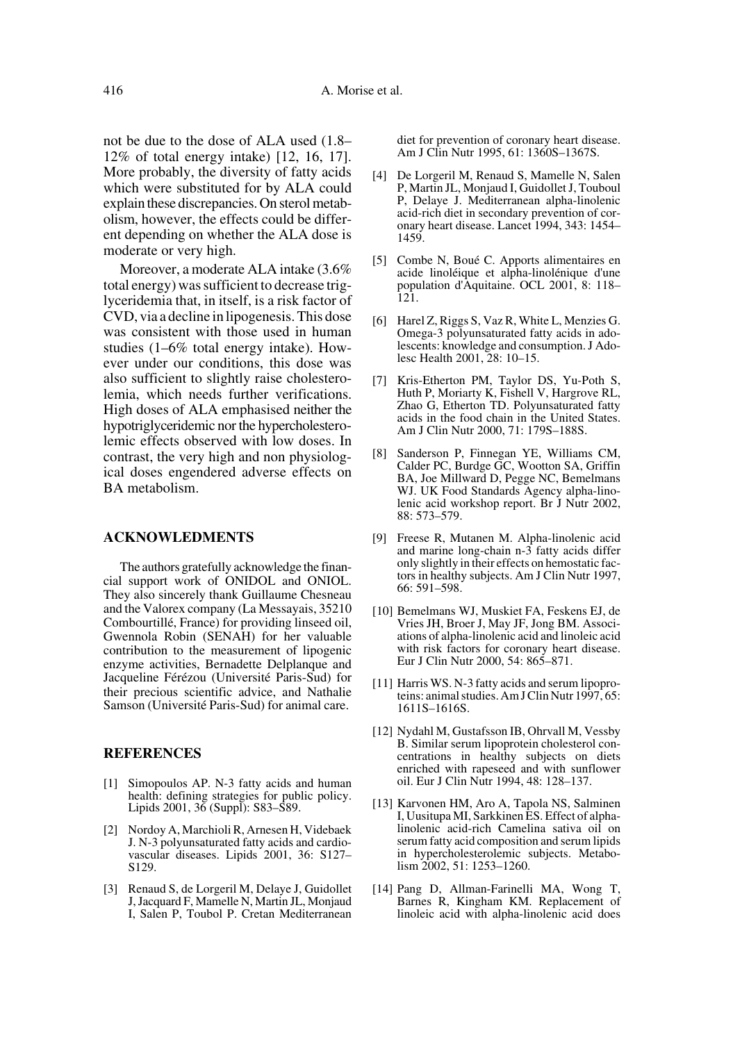not be due to the dose of ALA used (1.8– 12% of total energy intake) [12, 16, 17]. More probably, the diversity of fatty acids which were substituted for by ALA could explain these discrepancies. On sterol metabolism, however, the effects could be different depending on whether the ALA dose is moderate or very high.

Moreover, a moderate ALA intake (3.6% total energy) was sufficient to decrease triglyceridemia that, in itself, is a risk factor of CVD, via a decline in lipogenesis. This dose was consistent with those used in human studies (1–6% total energy intake). However under our conditions, this dose was also sufficient to slightly raise cholesterolemia, which needs further verifications. High doses of ALA emphasised neither the hypotriglyceridemic nor the hypercholesterolemic effects observed with low doses. In contrast, the very high and non physiological doses engendered adverse effects on BA metabolism.

## **ACKNOWLEDMENTS**

The authors gratefully acknowledge the financial support work of ONIDOL and ONIOL. They also sincerely thank Guillaume Chesneau and the Valorex company (La Messayais, 35210 Combourtillé, France) for providing linseed oil, Gwennola Robin (SENAH) for her valuable contribution to the measurement of lipogenic enzyme activities, Bernadette Delplanque and Jacqueline Férézou (Université Paris-Sud) for their precious scientific advice, and Nathalie Samson (Université Paris-Sud) for animal care.

#### **REFERENCES**

- [1] Simopoulos AP. N-3 fatty acids and human health: defining strategies for public policy. Lipids 2001, 36 (Suppl): S83–S89.
- [2] Nordoy A, Marchioli R, Arnesen H, Videbaek J. N-3 polyunsaturated fatty acids and cardiovascular diseases. Lipids 2001, 36: S127– S129.
- [3] Renaud S, de Lorgeril M, Delaye J, Guidollet J, Jacquard F, Mamelle N, Martin JL, Monjaud I, Salen P, Toubol P. Cretan Mediterranean

diet for prevention of coronary heart disease. Am J Clin Nutr 1995, 61: 1360S–1367S.

- [4] De Lorgeril M, Renaud S, Mamelle N, Salen P, Martin JL, Monjaud I, Guidollet J, Touboul P, Delaye J. Mediterranean alpha-linolenic acid-rich diet in secondary prevention of coronary heart disease. Lancet 1994, 343: 1454– 1459.
- [5] Combe N, Boué C. Apports alimentaires en acide linoléique et alpha-linolénique d'une population d'Aquitaine. OCL 2001, 8: 118– 121.
- [6] Harel Z, Riggs S, Vaz R, White L, Menzies G. Omega-3 polyunsaturated fatty acids in adolescents: knowledge and consumption. J Adolesc Health 2001, 28: 10–15.
- [7] Kris-Etherton PM, Taylor DS, Yu-Poth S, Huth P, Moriarty K, Fishell V, Hargrove RL, Zhao G, Etherton TD. Polyunsaturated fatty acids in the food chain in the United States. Am J Clin Nutr 2000, 71: 179S–188S.
- [8] Sanderson P, Finnegan YE, Williams CM, Calder PC, Burdge GC, Wootton SA, Griffin BA, Joe Millward D, Pegge NC, Bemelmans WJ. UK Food Standards Agency alpha-linolenic acid workshop report. Br J Nutr 2002, 88: 573–579.
- [9] Freese R, Mutanen M. Alpha-linolenic acid and marine long-chain n-3 fatty acids differ only slightly in their effects on hemostatic factors in healthy subjects. Am J Clin Nutr 1997, 66: 591–598.
- [10] Bemelmans WJ, Muskiet FA, Feskens EJ, de Vries JH, Broer J, May JF, Jong BM. Associations of alpha-linolenic acid and linoleic acid with risk factors for coronary heart disease. Eur J Clin Nutr 2000, 54: 865–871.
- [11] Harris WS. N-3 fatty acids and serum lipoproteins: animal studies. Am J Clin Nutr 1997, 65: 1611S–1616S.
- [12] Nydahl M, Gustafsson IB, Ohrvall M, Vessby B. Similar serum lipoprotein cholesterol concentrations in healthy subjects on diets enriched with rapeseed and with sunflower oil. Eur J Clin Nutr 1994, 48: 128–137.
- [13] Karvonen HM, Aro A, Tapola NS, Salminen I, Uusitupa MI, Sarkkinen ES. Effect of alphalinolenic acid-rich Camelina sativa oil on serum fatty acid composition and serum lipids in hypercholesterolemic subjects. Metabolism 2002, 51: 1253–1260.
- [14] Pang D, Allman-Farinelli MA, Wong T, Barnes R, Kingham KM. Replacement of linoleic acid with alpha-linolenic acid does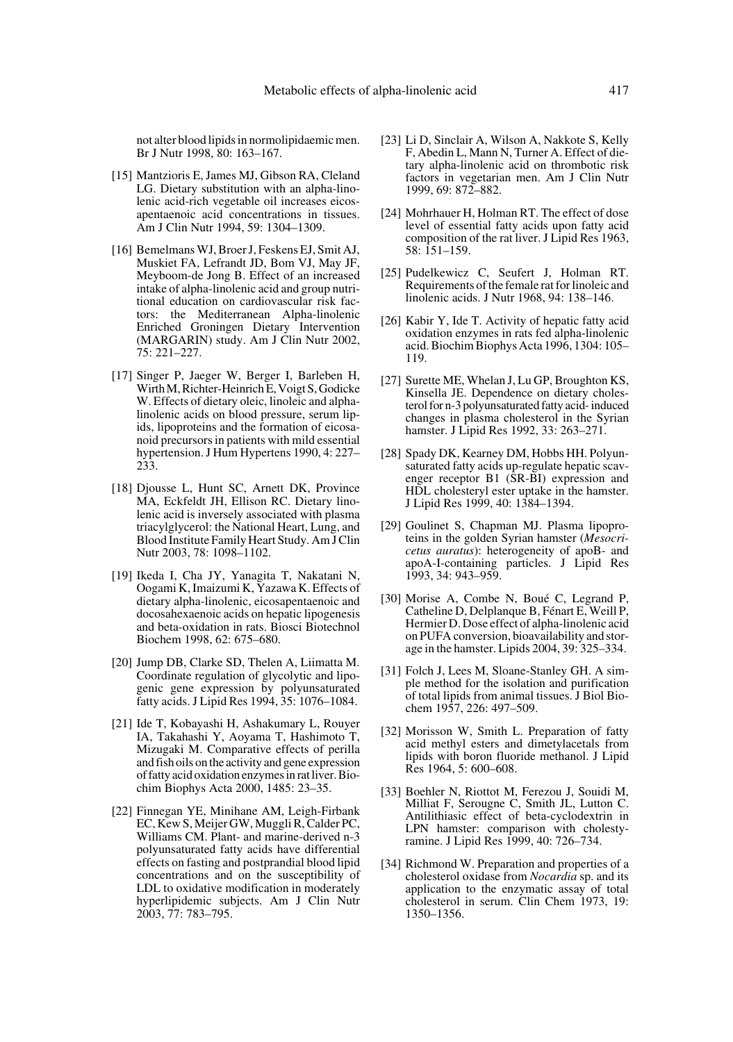not alter blood lipids in normolipidaemic men. Br J Nutr 1998, 80: 163–167.

- [15] Mantzioris E, James MJ, Gibson RA, Cleland LG. Dietary substitution with an alpha-linolenic acid-rich vegetable oil increases eicosapentaenoic acid concentrations in tissues. Am J Clin Nutr 1994, 59: 1304–1309.
- [16] Bemelmans WJ, Broer J, Feskens EJ, Smit AJ, Muskiet FA, Lefrandt JD, Bom VJ, May JF, Meyboom-de Jong B. Effect of an increased intake of alpha-linolenic acid and group nutritional education on cardiovascular risk factors: the Mediterranean Alpha-linolenic Enriched Groningen Dietary Intervention (MARGARIN) study. Am J Clin Nutr 2002, 75: 221–227.
- [17] Singer P, Jaeger W, Berger I, Barleben H, Wirth M, Richter-Heinrich E, Voigt S, Godicke W. Effects of dietary oleic, linoleic and alphalinolenic acids on blood pressure, serum lipids, lipoproteins and the formation of eicosanoid precursors in patients with mild essential hypertension. J Hum Hypertens 1990, 4: 227– 233.
- [18] Djousse L, Hunt SC, Arnett DK, Province MA, Eckfeldt JH, Ellison RC. Dietary linolenic acid is inversely associated with plasma triacylglycerol: the National Heart, Lung, and Blood Institute Family Heart Study. Am J Clin Nutr 2003, 78: 1098–1102.
- [19] Ikeda I, Cha JY, Yanagita T, Nakatani N, Oogami K, Imaizumi K, Yazawa K. Effects of dietary alpha-linolenic, eicosapentaenoic and docosahexaenoic acids on hepatic lipogenesis and beta-oxidation in rats. Biosci Biotechnol Biochem 1998, 62: 675–680.
- [20] Jump DB, Clarke SD, Thelen A, Liimatta M. Coordinate regulation of glycolytic and lipogenic gene expression by polyunsaturated fatty acids. J Lipid Res 1994, 35: 1076–1084.
- [21] Ide T, Kobayashi H, Ashakumary L, Rouyer IA, Takahashi Y, Aoyama T, Hashimoto T, Mizugaki M. Comparative effects of perilla and fish oils on the activity and gene expression of fatty acid oxidation enzymes in rat liver. Biochim Biophys Acta 2000, 1485: 23–35.
- [22] Finnegan YE, Minihane AM, Leigh-Firbank EC, Kew S, Meijer GW, Muggli R, Calder PC, Williams CM. Plant- and marine-derived n-3 polyunsaturated fatty acids have differential effects on fasting and postprandial blood lipid concentrations and on the susceptibility of LDL to oxidative modification in moderately hyperlipidemic subjects. Am J Clin Nutr 2003, 77: 783–795.
- [23] Li D, Sinclair A, Wilson A, Nakkote S, Kelly F, Abedin L, Mann N, Turner A. Effect of dietary alpha-linolenic acid on thrombotic risk factors in vegetarian men. Am J Clin Nutr 1999, 69: 872–882.
- [24] Mohrhauer H, Holman RT. The effect of dose level of essential fatty acids upon fatty acid composition of the rat liver. J Lipid Res 1963, 58: 151–159.
- [25] Pudelkewicz C, Seufert J, Holman RT. Requirements of the female rat for linoleic and linolenic acids. J Nutr 1968, 94: 138–146.
- [26] Kabir Y, Ide T. Activity of hepatic fatty acid oxidation enzymes in rats fed alpha-linolenic acid. Biochim Biophys Acta 1996, 1304: 105– 119.
- [27] Surette ME, Whelan J, Lu GP, Broughton KS, Kinsella JE. Dependence on dietary cholesterol for n-3 polyunsaturated fatty acid- induced changes in plasma cholesterol in the Syrian hamster. J Lipid Res 1992, 33: 263–271.
- [28] Spady DK, Kearney DM, Hobbs HH. Polyunsaturated fatty acids up-regulate hepatic scavenger receptor B1 (SR-BI) expression and HDL cholesteryl ester uptake in the hamster. J Lipid Res 1999, 40: 1384–1394.
- [29] Goulinet S, Chapman MJ. Plasma lipoproteins in the golden Syrian hamster (*Mesocricetus auratus*): heterogeneity of apoB- and apoA-I-containing particles. J Lipid Res 1993, 34: 943–959.
- [30] Morise A, Combe N, Boué C, Legrand P, Catheline D, Delplanque B, Fénart E, Weill P, Hermier D. Dose effect of alpha-linolenic acid on PUFA conversion, bioavailability and storage in the hamster. Lipids 2004, 39: 325–334.
- [31] Folch J, Lees M, Sloane-Stanley GH. A simple method for the isolation and purification of total lipids from animal tissues. J Biol Biochem 1957, 226: 497–509.
- [32] Morisson W, Smith L. Preparation of fatty acid methyl esters and dimetylacetals from lipids with boron fluoride methanol. J Lipid Res 1964, 5: 600–608.
- [33] Boehler N, Riottot M, Ferezou J, Souidi M, Milliat F, Serougne C, Smith JL, Lutton C. Antilithiasic effect of beta-cyclodextrin in LPN hamster: comparison with cholestyramine. J Lipid Res 1999, 40: 726–734.
- [34] Richmond W. Preparation and properties of a cholesterol oxidase from *Nocardia* sp. and its application to the enzymatic assay of total cholesterol in serum. Clin Chem 1973, 19: 1350–1356.